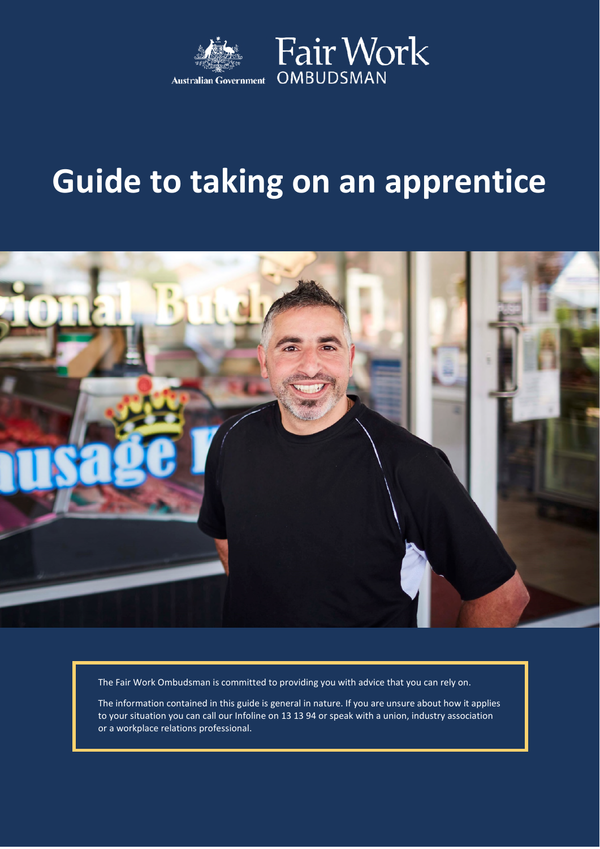

## **Guide to taking on an apprentice**



The Fair Work Ombudsman is committed to providing you with advice that you can rely on.

The information contained in this guide is general in nature. If you are unsure about how it applies to your situation you can call our Infoline on 13 13 94 or speak with a union, industry association or a workplace relations professional.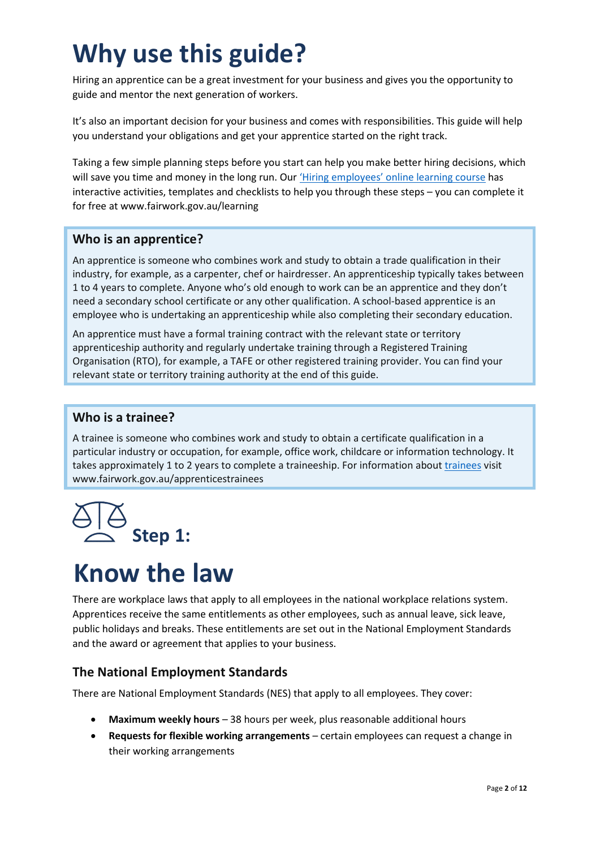### **Why use this guide?**

Hiring an apprentice can be a great investment for your business and gives you the opportunity to guide and mentor the next generation of workers.

It's also an important decision for your business and comes with responsibilities. This guide will help you understand your obligations and get your apprentice started on the right track.

Taking a few simple planning steps before you start can help you make better hiring decisions, which will save you time and money in the long run. Our 'Hiring [employees' online](http://www.fairwork.gov.au/learning) learning course has interactive activities, templates and checklists to help you through these steps – you can complete it for free at www.fairwork.gov.au/learning

#### **Who is an apprentice?**

An apprentice is someone who combines work and study to obtain a trade qualification in their industry, for example, as a carpenter, chef or hairdresser. An apprenticeship typically takes between 1 to 4 years to complete. Anyone who's old enough to work can be an apprentice and they don't need a secondary school certificate or any other qualification. A school-based apprentice is an employee who is undertaking an apprenticeship while also completing their secondary education.

An apprentice must have a formal training contract with the relevant state or territory apprenticeship authority and regularly undertake training through a Registered Training Organisation (RTO), for example, a TAFE or other registered training provider. You can find your relevant state or territory training authority at the end of this guide.

#### **Who is a trainee?**

A trainee is someone who combines work and study to obtain a certificate qualification in a particular industry or occupation, for example, office work, childcare or information technology. It takes approximately 1 to 2 years to complete a traineeship. For information about [trainees](http://www.fairwork.gov.au/apprenticestrainees) visit www.fairwork.gov.au/apprenticestrainees



### **Know the law**

There are workplace laws that apply to all employees in the national workplace relations system. Apprentices receive the same entitlements as other employees, such as annual leave, sick leave, public holidays and breaks. These entitlements are set out in the National Employment Standards and the award or agreement that applies to your business.

#### **The National Employment Standards**

There are National Employment Standards (NES) that apply to all employees. They cover:

- **Maximum weekly hours** 38 hours per week, plus reasonable additional hours
- **Requests for flexible working arrangements** certain employees can request a change in their working arrangements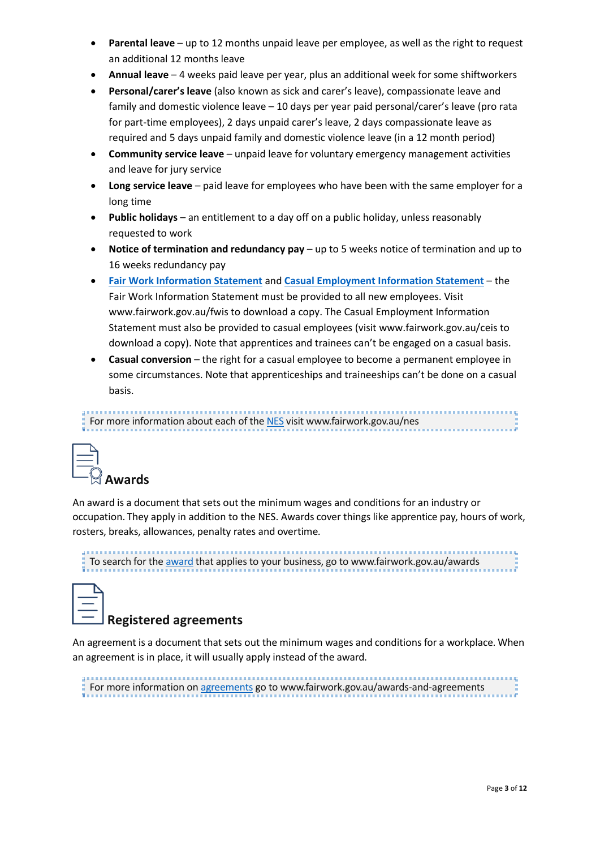- **Parental leave** up to 12 months unpaid leave per employee, as well as the right to request an additional 12 months leave
- **Annual leave** 4 weeks paid leave per year, plus an additional week for some shiftworkers
- **Personal/carer's leave** (also known as sick and carer's leave), compassionate leave and family and domestic violence leave – 10 days per year paid personal/carer's leave (pro rata for part-time employees), 2 days unpaid carer's leave, 2 days compassionate leave as required and 5 days unpaid family and domestic violence leave (in a 12 month period)
- **Community service leave** unpaid leave for voluntary emergency management activities and leave for jury service
- **Long service leave** paid leave for employees who have been with the same employer for a long time
- **Public holidays** an entitlement to a day off on a public holiday, unless reasonably requested to work
- **Notice of termination and redundancy pay** up to 5 weeks notice of termination and up to 16 weeks redundancy pay
- **Fair Work [Information](http://www.fairwork.gov.au/fwis) Statement** and **Casual [Employment](http://www.fairwork.gov.au/ceis) Information Statement** the Fair Work Information Statement must be provided to all new employees. Visit www.fairwork.gov.au/fwis to download a copy. The Casual Employment Information Statement must also be provided to casual employees (visit www.fairwork.gov.au/ceis to download a copy). Note that apprentices and trainees can't be engaged on a casual basis.
- **Casual conversion** the right for a casual employee to become a permanent employee in some circumstances. Note that apprenticeships and traineeships can't be done on a casual basis.

#### For more information about each of the [NES](http://www.fairwork.gov.au/nes) visit www.fairwork.gov.au/nes



An award is a document that sets out the minimum wages and conditions for an industry or occupation. They apply in addition to the NES. Awards cover things like apprentice pay, hours of work, rosters, breaks, allowances, penalty rates and overtime.

To search for the **award** that applies to your business, go to www.fairwork.gov.au/awards

| ___<br>__ |
|-----------|
|           |

#### **Registered agreements**

An agreement is a document that sets out the minimum wages and conditions for a workplace. When an agreement is in place, it will usually apply instead of the award.

For more information on [agreements](http://www.fairwork.gov.au/awards-and-agreements) go to www.fairwork.gov.au/awards-and-agreements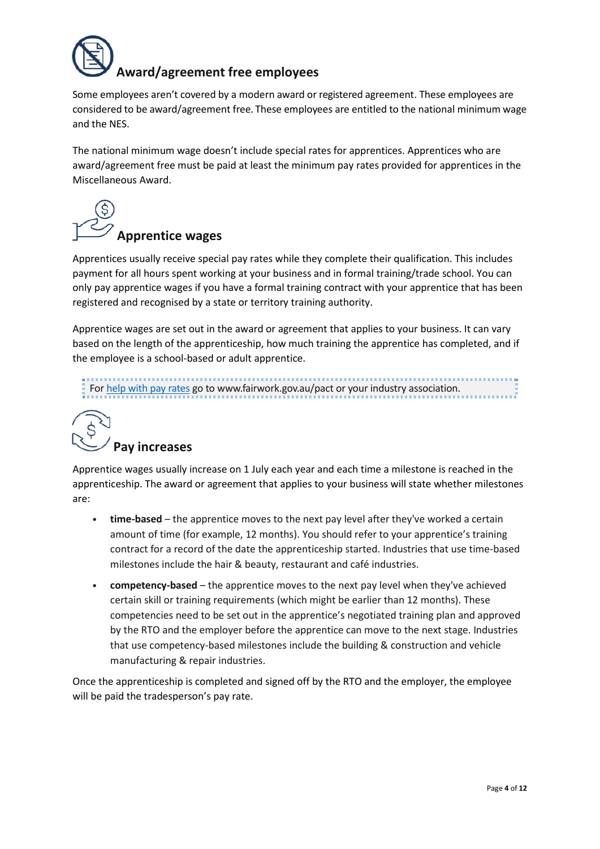

#### **Award/agreement free employees**

Some employees aren't covered by a modern award or registered agreement. These employees are considered to be award/agreement free. These employees are entitled to the national minimum wage and the NES.

The national minimum wage doesn't include special rates for apprentices. Apprentices who are award/agreement free must be paid at least the minimum pay rates provided for apprentices in the Miscellaneous Award.

## **Apprentice wages**

Apprentices usually receive special pay rates while they complete their qualification. This includes payment for all hours spent working at your business and in formal training/trade school. You can only pay apprentice wages if you have a formal training contract with your apprentice that has been registered and recognised by a state or territory training authority.

Apprentice wages are set out in the award or agreement that applies to your business. It can vary based on the length of the apprenticeship, how much training the apprentice has completed, and if the employee is a school-based or adult apprentice.

For help with pay [rates](http://www.fairwork.gov.au/pact) go to www.fairwork.gov.au/pact or your industry association.

# **Pay increases**

Apprentice wages usually increase on 1 July each year and each time a milestone is reached in the apprenticeship. The award or agreement that applies to your business will state whether milestones are:

- **time-based** the apprentice moves to the next pay level after they've worked a certain amount of time (for example, 12 months). You should refer to your apprentice's training contract for a record of the date the apprenticeship started. Industries that use time-based milestones include the hair & beauty, restaurant and café industries.
- **competency-based** the apprentice moves to the next pay level when they've achieved certain skill or training requirements (which might be earlier than 12 months). These competencies need to be set out in the apprentice's negotiated training plan and approved by the RTO and the employer before the apprentice can move to the next stage. Industries that use competency-based milestones include the building & construction and vehicle manufacturing & repair industries.

Once the apprenticeship is completed and signed off by the RTO and the employer, the employee will be paid the tradesperson's pay rate.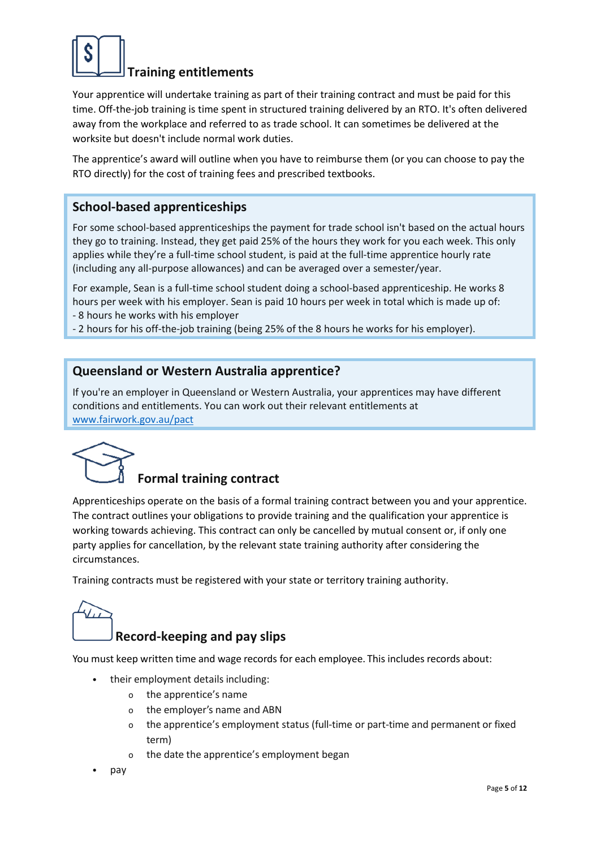

#### **Training entitlements**

Your apprentice will undertake training as part of their training contract and must be paid for this time. Off-the-job training is time spent in structured training delivered by an RTO. It's often delivered away from the workplace and referred to as trade school. It can sometimes be delivered at the worksite but doesn't include normal work duties.

The apprentice's award will outline when you have to reimburse them (or you can choose to pay the RTO directly) for the cost of training fees and prescribed textbooks.

#### **School-based apprenticeships**

For some school-based apprenticeships the payment for trade school isn't based on the actual hours they go to training. Instead, they get paid 25% of the hours they work for you each week. This only applies while they're a full-time school student, is paid at the full-time apprentice hourly rate (including any all-purpose allowances) and can be averaged over a semester/year.

For example, Sean is a full-time school student doing a school-based apprenticeship. He works 8 hours per week with his employer. Sean is paid 10 hours per week in total which is made up of: - 8 hours he works with his employer

- 2 hours for his off-the-job training (being 25% of the 8 hours he works for his employer).

#### **Queensland or Western Australia apprentice?**

If you're an employer in Queensland or Western Australia, your apprentices may have different conditions and entitlements. You can work out [their relevant entitlements](http://www.fairwork.gov.au/pact) at [www.fairwork.gov.au/pact](http://www.fairwork.gov.au/pact)



#### **Formal training contract**

Apprenticeships operate on the basis of a formal training contract between you and your apprentice. The contract outlines your obligations to provide training and the qualification your apprentice is working towards achieving. This contract can only be cancelled by mutual consent or, if only one party applies for cancellation, by the relevant state training authority after considering the circumstances.

Training contracts must be registered with your state or territory training authority.



#### **Record-keeping and pay slips**

You must keep written time and wage records for each employee. This includes records about:

- their employment details including:
	- o the apprentice's name
	- o the employer's name and ABN
	- o the apprentice's employment status (full-time or part-time and permanent or fixed term)
	- o the date the apprentice's employment began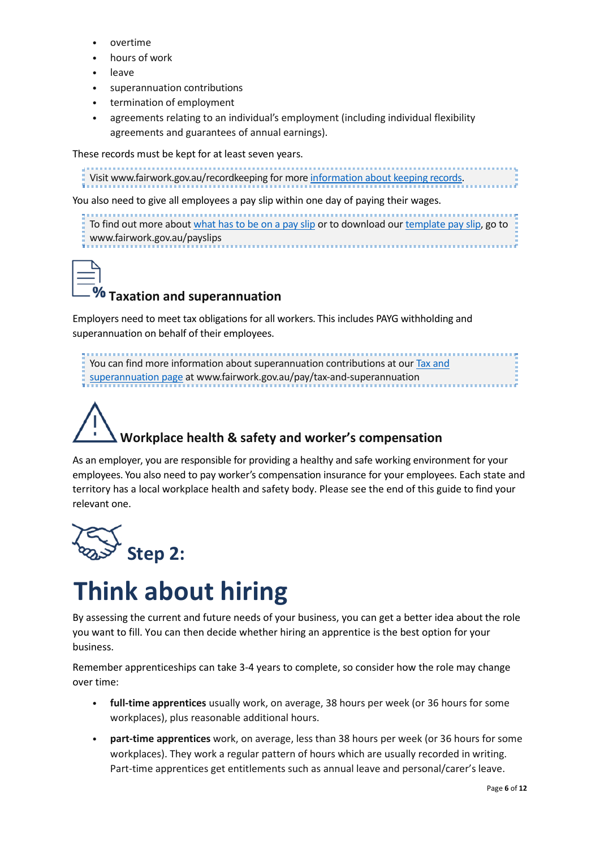- overtime
- hours of work
- **leave**
- superannuation contributions
- termination of employment
- agreements relating to an individual's employment (including individual flexibility agreements and guarantees of annual earnings).

These records must be kept for at least seven years.

```
information about keeping records.
```
You also need to give all employees a pay slip within one day of paying their wages.

To find out more about [what has to be on a pay slip](http://www.fairwork.gov.au/payslips) or to download our [template pay slip](http://www.fairwork.gov.au/payslips), go to www.fairwork.gov.au/payslips



#### **Taxation and superannuation**

Employers need to meet tax obligations for all workers. This includes PAYG withholding and superannuation on behalf of their employees.

You can find more information about superannuation contributions at our Tax and [superannuation page at www.fairwork.gov.au/pay/tax-and-superannuation](http://www.fairwork.gov.au/pay/tax-and-superannuation)

# **Workplace health & safety and worker's compensation**

As an employer, you are responsible for providing a healthy and safe working environment for your employees. You also need to pay worker's compensation insurance for your employees. Each state and territory has a local workplace health and safety body. Please see the end of this guide to find your relevant one.



### **Think about hiring**

By assessing the current and future needs of your business, you can get a better idea about the role you want to fill. You can then decide whether hiring an apprentice is the best option for your business.

Remember apprenticeships can take 3-4 years to complete, so consider how the role may change over time:

- **full-time apprentices** usually work, on average, 38 hours per week (or 36 hours for some workplaces), plus reasonable additional hours.
- **part-time apprentices** work, on average, less than 38 hours per week (or 36 hours for some workplaces). They work a regular pattern of hours which are usually recorded in writing. Part-time apprentices get entitlements such as annual leave and personal/carer's leave.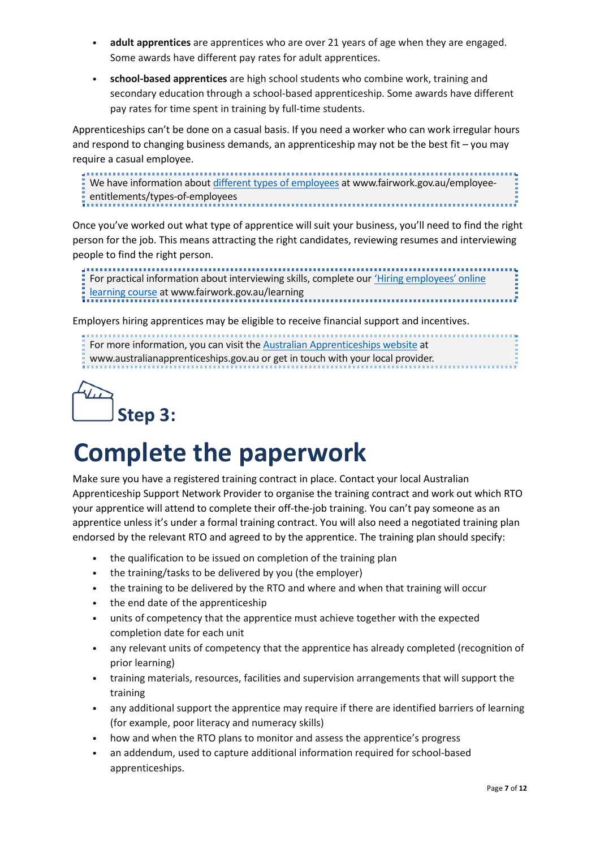- **adult apprentices** are apprentices who are over 21 years of age when they are engaged. Some awards have different pay rates for adult apprentices.
- **school-based apprentices** are high school students who combine work, training and secondary education through a school-based apprenticeship. Some awards have different pay rates for time spent in training by full-time students.

Apprenticeships can't be done on a casual basis. If you need a worker who can work irregular hours and respond to changing business demands, an apprenticeship may not be the best fit – you may require a casual employee.

We have information about [different types of employees](http://www.fairwork.gov.au/employee-entitlements/types-of-employees) at www.fairwork.gov.au/employeeentitlements/types-of-employees

Once you've worked out what type of apprentice will suit your business, you'll need to find the right person for the job. This means attracting the right candidates, reviewing resumes and interviewing people to find the right person.

ĵ For practical information about interviewing skills, complete our 'Hiring employees' online **learning course at [www.fairwork.gov.au/learning](http://www.fairwork.gov.au/learning)** 

Employers hiring apprentices may be eligible to receive financial support and incentives.

For more information, you can visit the [Australian Apprenticeships website](http://www.australianapprenticeships.gov.au/) at www.australianapprenticeships.gov.au or get in touch with your local provider.



### **Complete the paperwork**

Make sure you have a registered training contract in place. Contact your local Australian Apprenticeship Support Network Provider to organise the training contract and work out which RTO your apprentice will attend to complete their off-the-job training. You can't pay someone as an apprentice unless it's under a formal training contract. You will also need a negotiated training plan endorsed by the relevant RTO and agreed to by the apprentice. The training plan should specify:

- the qualification to be issued on completion of the training plan
- the training/tasks to be delivered by you (the employer)
- the training to be delivered by the RTO and where and when that training will occur
- the end date of the apprenticeship
- units of competency that the apprentice must achieve together with the expected completion date for each unit
- any relevant units of competency that the apprentice has already completed (recognition of prior learning)
- training materials, resources, facilities and supervision arrangements that will support the training
- any additional support the apprentice may require if there are identified barriers of learning (for example, poor literacy and numeracy skills)
- how and when the RTO plans to monitor and assess the apprentice's progress
- an addendum, used to capture additional information required for school-based apprenticeships.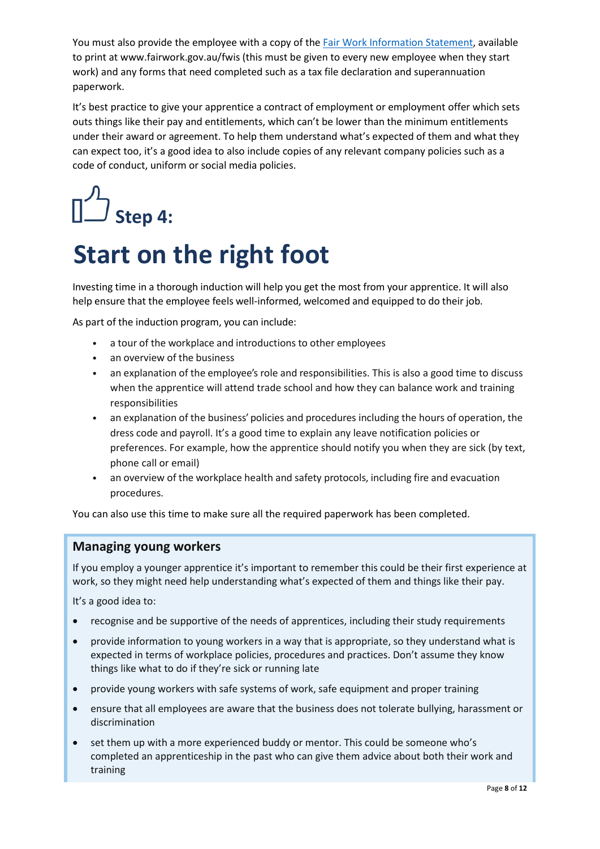You must also provide the employee with a copy of the Fair Work [Information](https://www.fairwork.gov.au/fwis) Statement, available to print at www.fairwork.gov.au/fwis (this must be given to every new employee when they start work) and any forms that need completed such as a tax file declaration and superannuation paperwork.

It's best practice to give your apprentice a contract of employment or employment offer which sets outs things like their pay and entitlements, which can't be lower than the minimum entitlements under their award or agreement. To help them understand what's expected of them and what they can expect too, it's a good idea to also include copies of any relevant company policies such as a code of conduct, uniform or social media policies.

# **Step 4:**

### **Start on the right foot**

Investing time in a thorough induction will help you get the most from your apprentice. It will also help ensure that the employee feels well-informed, welcomed and equipped to do their job.

As part of the induction program, you can include:

- a tour of the workplace and introductions to other employees
- an overview of the business
- an explanation of the employee's role and responsibilities. This is also a good time to discuss when the apprentice will attend trade school and how they can balance work and training responsibilities
- an explanation of the business' policies and procedures including the hours of operation, the dress code and payroll. It's a good time to explain any leave notification policies or preferences. For example, how the apprentice should notify you when they are sick (by text, phone call or email)
- an overview of the workplace health and safety protocols, including fire and evacuation procedures.

You can also use this time to make sure all the required paperwork has been completed.

#### **Managing young workers**

If you employ a younger apprentice it's important to remember this could be their first experience at work, so they might need help understanding what's expected of them and things like their pay.

It's a good idea to:

- recognise and be supportive of the needs of apprentices, including their study requirements
- provide information to young workers in a way that is appropriate, so they understand what is expected in terms of workplace policies, procedures and practices. Don't assume they know things like what to do if they're sick or running late
- provide young workers with safe systems of work, safe equipment and proper training
- ensure that all employees are aware that the business does not tolerate bullying, harassment or discrimination
- set them up with a more experienced buddy or mentor. This could be someone who's completed an apprenticeship in the past who can give them advice about both their work and training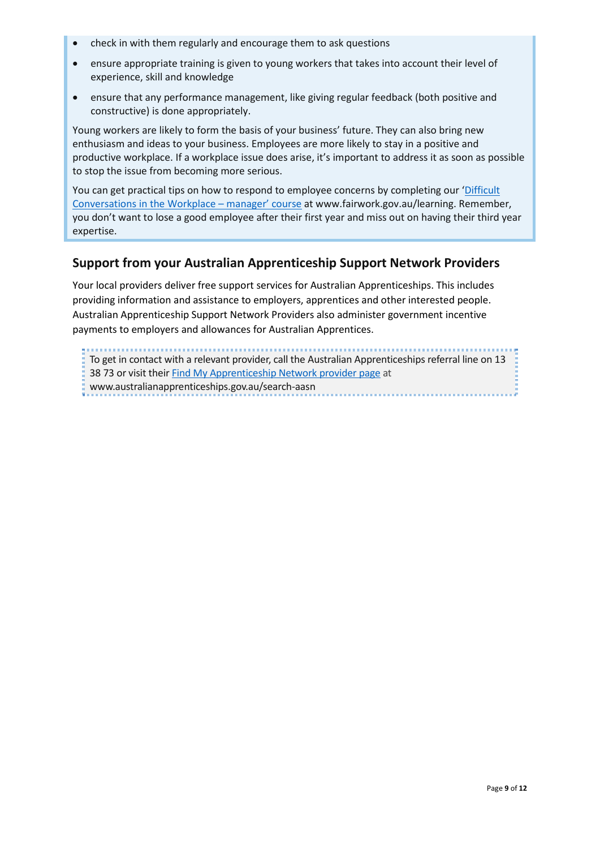- check in with them regularly and encourage them to ask questions
- ensure appropriate training is given to young workers that takes into account their level of experience, skill and knowledge
- ensure that any performance management, like giving regular feedback (both positive and constructive) is done appropriately.

Young workers are likely to form the basis of your business' future. They can also bring new enthusiasm and ideas to your business. Employees are more likely to stay in a positive and productive workplace. If a workplace issue does arise, it's important to address it as soon as possible to stop the issue from becoming more serious.

You can get practical tips on how to respond to employee concerns by completing our 'Difficult Conversations in the Workplace – manager' course at www.fairwork.gov.au/learning. Remember, you don't want to lose a good employee after their first year and miss out on having their third year expertise.

#### **Support from your Australian Apprenticeship Support Network Providers**

Your local providers deliver free support services for Australian Apprenticeships. This includes providing information and assistance to employers, apprentices and other interested people. Australian Apprenticeship Support Network Providers also administer government incentive payments to employers and allowances for Australian Apprentices.

To get in contact [with a relevant provider, call the Australian Appren](https://www.australianapprenticeships.gov.au/search-aasn)ticeships referral line on 13 38 73 or visit their Find My Apprenticeship Network provider page at www.australianapprenticeships.gov.au/search-aasn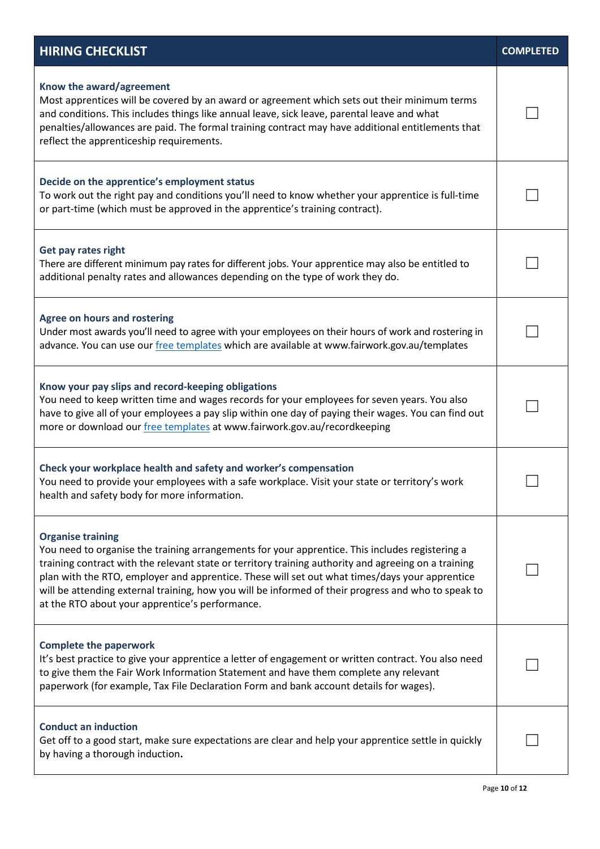| <b>HIRING CHECKLIST</b>                                                                                                                                                                                                                                                                                                                                                                                                                                                                         | <b>COMPLETED</b> |
|-------------------------------------------------------------------------------------------------------------------------------------------------------------------------------------------------------------------------------------------------------------------------------------------------------------------------------------------------------------------------------------------------------------------------------------------------------------------------------------------------|------------------|
| Know the award/agreement<br>Most apprentices will be covered by an award or agreement which sets out their minimum terms<br>and conditions. This includes things like annual leave, sick leave, parental leave and what<br>penalties/allowances are paid. The formal training contract may have additional entitlements that<br>reflect the apprenticeship requirements.                                                                                                                        |                  |
| Decide on the apprentice's employment status<br>To work out the right pay and conditions you'll need to know whether your apprentice is full-time<br>or part-time (which must be approved in the apprentice's training contract).                                                                                                                                                                                                                                                               |                  |
| Get pay rates right<br>There are different minimum pay rates for different jobs. Your apprentice may also be entitled to<br>additional penalty rates and allowances depending on the type of work they do.                                                                                                                                                                                                                                                                                      |                  |
| <b>Agree on hours and rostering</b><br>Under most awards you'll need to agree with your employees on their hours of work and rostering in<br>advance. You can use our free templates which are available at www.fairwork.gov.au/templates                                                                                                                                                                                                                                                       |                  |
| Know your pay slips and record-keeping obligations<br>You need to keep written time and wages records for your employees for seven years. You also<br>have to give all of your employees a pay slip within one day of paying their wages. You can find out<br>more or download our <i>free templates</i> at www.fairwork.gov.au/recordkeeping                                                                                                                                                   |                  |
| Check your workplace health and safety and worker's compensation<br>You need to provide your employees with a safe workplace. Visit your state or territory's work<br>health and safety body for more information.                                                                                                                                                                                                                                                                              |                  |
| <b>Organise training</b><br>You need to organise the training arrangements for your apprentice. This includes registering a<br>training contract with the relevant state or territory training authority and agreeing on a training<br>plan with the RTO, employer and apprentice. These will set out what times/days your apprentice<br>will be attending external training, how you will be informed of their progress and who to speak to<br>at the RTO about your apprentice's performance. |                  |
| <b>Complete the paperwork</b><br>It's best practice to give your apprentice a letter of engagement or written contract. You also need<br>to give them the Fair Work Information Statement and have them complete any relevant<br>paperwork (for example, Tax File Declaration Form and bank account details for wages).                                                                                                                                                                         |                  |
| <b>Conduct an induction</b><br>Get off to a good start, make sure expectations are clear and help your apprentice settle in quickly<br>by having a thorough induction.                                                                                                                                                                                                                                                                                                                          |                  |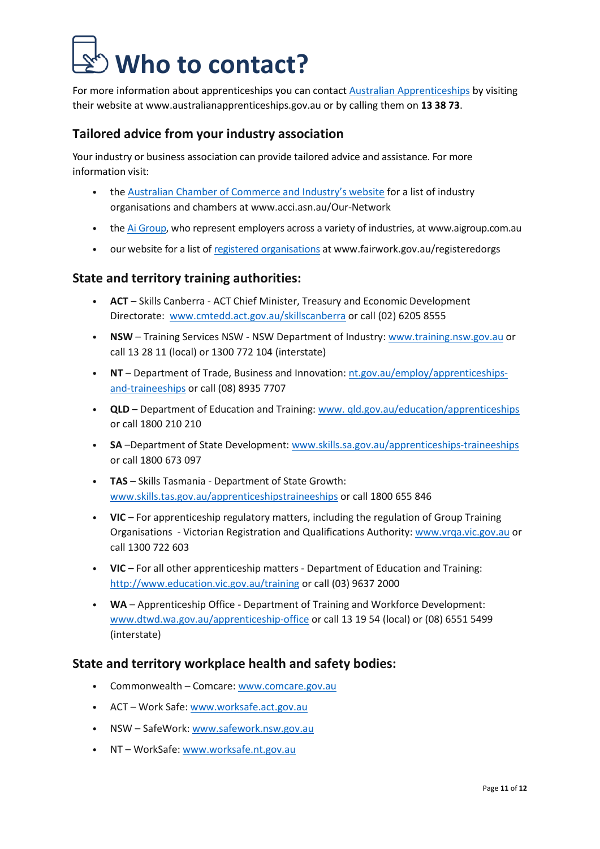## **Who to contact?**

For more information about apprenticeships you can contact Australian [Apprenticeships](https://www.australianapprenticeships.gov.au/) by visiting their website at www.australianapprenticeships.gov.au or by calling them on **13 38 73**.

#### **Tailored advice from your industry association**

Your industry or business association can provide tailored advice and assistance. For more information visit:

- the Australian Chamber of [Commerce](http://www.acci.asn.au/Our-Network) and Industry's website for a list of industry organisations and chambers at www.acci.asn.au/Our-Network
- the [Ai Group,](http://www.aigroup.com.au/) who represent employers across a variety of industries, at www.aigroup.com.au
- our website for a list of [registered organisations](http://www.fairwork.gov.au/registeredorgs) at www.fairwork.gov.au/registeredorgs

#### **State and territory training authorities:**

- **ACT** Skills Canberra ACT Chief Minister, Treasury and Economic Development Directorate: [www.cmtedd.act.gov.au/skillscanberra](http://www.cmtedd.act.gov.au/skillscanberra) or call (02) 6205 8555
- **NSW** Training Services NSW NSW Department of Industry: [www.training.nsw.gov.au](http://www.training.nsw.gov.au/) or call 13 28 11 (local) or 1300 772 104 (interstate)
- **NT** Department of Trade, Business and Innovation: [nt.gov.au/employ/apprenticeships](https://nt.gov.au/employ/apprenticeships-and-traineeships)[and-traineeships or call \(08\) 8935 7707](https://nt.gov.au/employ/apprenticeships-and-traineeships)
- **QLD** Department of Education and Training: [www. qld.gov.au/education/apprenticeships](http://www.qld.gov.au/education/apprenticeships) or call 1800 210 210
- **SA** –Department of State Development: [www.skills.sa.gov.au/apprenticeships-traineeships](http://www.skills.sa.gov.au/apprenticeships-traineeships) or call 1800 673 097
- **TAS** Skills Tasmania Department of State Growth: [www.skills.tas.gov.au/apprenticeshipstraineeships](http://www.skills.tas.gov.au/apprenticeshipstraineeships) or call 1800 655 846
- **VIC** For apprenticeship regulatory matters, including the regulation of Group Training Organisations - Victorian Registration and Qualifications Authority: [www.vrqa.vic.gov.au](http://www.vrqa.vic.gov.au/) or call 1300 722 603
- **VIC** For all other apprenticeship matters Department of Education and Training: <http://www.education.vic.gov.au/training> or call (03) 9637 2000
- **WA** Apprenticeship Office Department of Training and Workforce Development: [www.dtwd.wa.gov.au/apprenticeship-office](http://www.dtwd.wa.gov.au/apprenticeship-office) or call 13 19 54 (local) or (08) 6551 5499 (interstate)

#### **State and territory workplace health and safety bodies:**

- Commonwealth Comcare: [www.comcare.gov.au](http://www.comcare.gov.au/)
- ACT Work Safe: [www.worksafe.act.gov.au](http://www.worksafe.act.gov.au/)
- NSW SafeWork: [www.safework.nsw.gov.au](http://www.safework.nsw.gov.au/)
- NT WorkSafe: [www.worksafe.nt.gov.au](http://www.worksafe.nt.gov.au/)